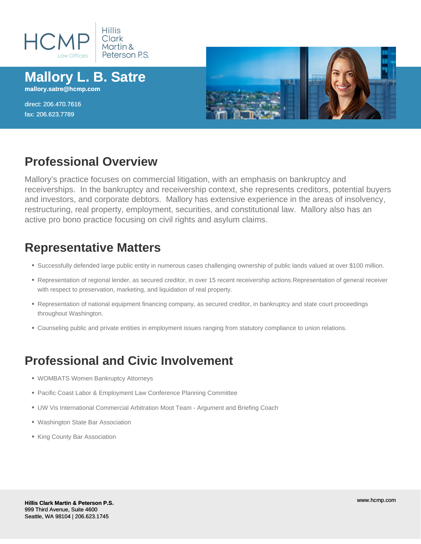

#### **Mallory L. B. Satre mallory.satre@hcmp.com**

direct: 206.470.7616 fax: 206.623.7789



### **Professional Overview**

Mallory's practice focuses on commercial litigation, with an emphasis on bankruptcy and receiverships. In the bankruptcy and receivership context, she represents creditors, potential buyers and investors, and corporate debtors. Mallory has extensive experience in the areas of insolvency, restructuring, real property, employment, securities, and constitutional law. Mallory also has an active pro bono practice focusing on civil rights and asylum claims.

### **Representative Matters**

- Successfully defended large public entity in numerous cases challenging ownership of public lands valued at over \$100 million.
- Representation of regional lender, as secured creditor, in over 15 recent receivership actions.Representation of general receiver with respect to preservation, marketing, and liquidation of real property.
- Representation of national equipment financing company, as secured creditor, in bankruptcy and state court proceedings throughout Washington.
- Counseling public and private entities in employment issues ranging from statutory compliance to union relations.

## **Professional and Civic Involvement**

- WOMBATS Women Bankruptcy Attorneys
- Pacific Coast Labor & Employment Law Conference Planning Committee
- UW Vis International Commercial Arbitration Moot Team Argument and Briefing Coach
- Washington State Bar Association
- King County Bar Association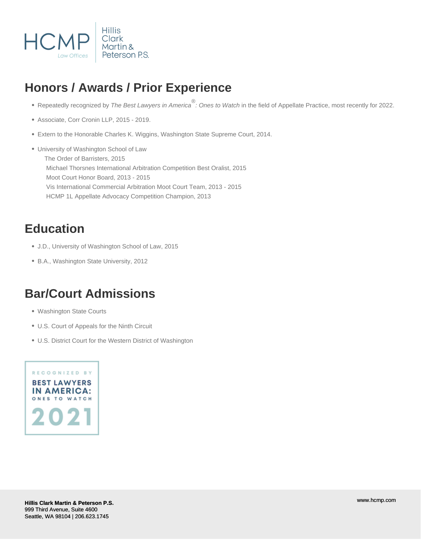

# **Honors / Awards / Prior Experience**

- Repeatedly recognized by The Best Lawyers in America<sup>®</sup>: Ones to Watch in the field of Appellate Practice, most recently for 2022.
- Associate, Corr Cronin LLP, 2015 2019.
- Extern to the Honorable Charles K. Wiggins, Washington State Supreme Court, 2014.
- University of Washington School of Law The Order of Barristers, 2015 Michael Thorsnes International Arbitration Competition Best Oralist, 2015 Moot Court Honor Board, 2013 - 2015 Vis International Commercial Arbitration Moot Court Team, 2013 - 2015 HCMP 1L Appellate Advocacy Competition Champion, 2013

### **Education**

- J.D., University of Washington School of Law, 2015
- B.A., Washington State University, 2012

### **Bar/Court Admissions**

- Washington State Courts
- U.S. Court of Appeals for the Ninth Circuit
- U.S. District Court for the Western District of Washington